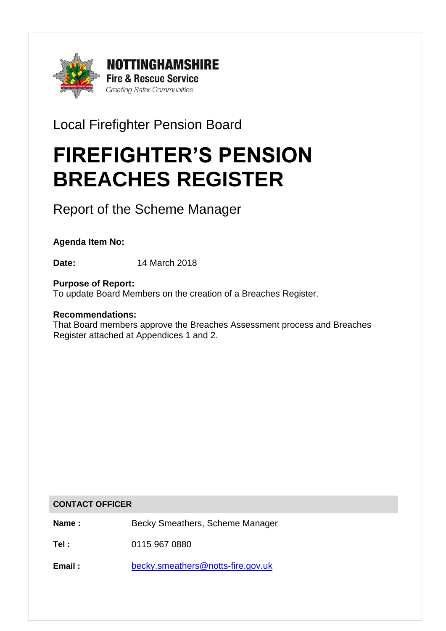

Local Firefighter Pension Board

# FIREFIGHTER'S PENSION BREACHES REGISTER

Report of the Scheme Manager

**Agenda Item No:**

**Date:** 14 March 2018

**Purpose of Report:** To update Board Members on the creation of a Breaches Register.

## **Recommendations:**

That Board members approve the Breaches Assessment process and Breaches Register attached at Appendices 1 and 2.

#### **CONTACT OFFICER**

Name : **Becky Smeathers, Scheme Manager** 

**Tel :** 0115 967 0880

**Email :** [becky.smeathers@notts-fire.gov.uk](mailto:becky.smeathers@notts-fire.gov.uk)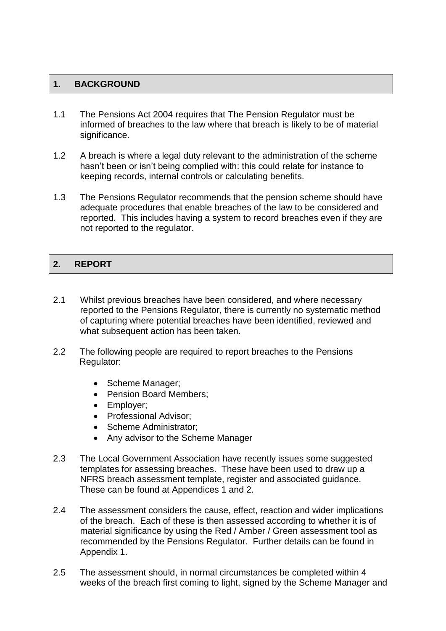## **1. BACKGROUND**

- 1.1 The Pensions Act 2004 requires that The Pension Regulator must be informed of breaches to the law where that breach is likely to be of material significance.
- 1.2 A breach is where a legal duty relevant to the administration of the scheme hasn't been or isn't being complied with: this could relate for instance to keeping records, internal controls or calculating benefits.
- 1.3 The Pensions Regulator recommends that the pension scheme should have adequate procedures that enable breaches of the law to be considered and reported. This includes having a system to record breaches even if they are not reported to the regulator.

## 2. REPORT

- 2.1 Whilst previous breaches have been considered, and where necessary reported to the Pensions Regulator, there is currently no systematic method of capturing where potential breaches have been identified, reviewed and what subsequent action has been taken.
- 2.2 The following people are required to report breaches to the Pensions Regulator:
	- Scheme Manager;
	- Pension Board Members;
	- Employer;
	- Professional Advisor;
	- Scheme Administrator:
	- Any advisor to the Scheme Manager
- 2.3 The Local Government Association have recently issues some suggested templates for assessing breaches. These have been used to draw up a NFRS breach assessment template, register and associated guidance. These can be found at Appendices 1 and 2.
- 2.4 The assessment considers the cause, effect, reaction and wider implications of the breach. Each of these is then assessed according to whether it is of material significance by using the Red / Amber / Green assessment tool as recommended by the Pensions Regulator. Further details can be found in Appendix 1.
- 2.5 The assessment should, in normal circumstances be completed within 4 weeks of the breach first coming to light, signed by the Scheme Manager and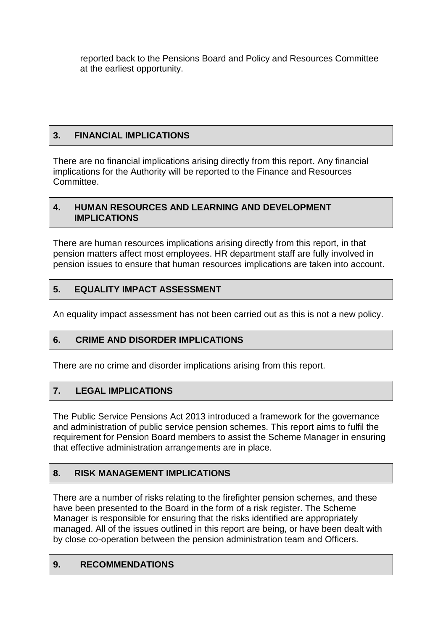reported back to the Pensions Board and Policy and Resources Committee at the earliest opportunity.

## **3. FINANCIAL IMPLICATIONS**

There are no financial implications arising directly from this report. Any financial implications for the Authority will be reported to the Finance and Resources **Committee.** 

#### **4. HUMAN RESOURCES AND LEARNING AND DEVELOPMENT IMPLICATIONS**

There are human resources implications arising directly from this report, in that pension matters affect most employees. HR department staff are fully involved in pension issues to ensure that human resources implications are taken into account.

## **5. EQUALITY IMPACT ASSESSMENT**

An equality impact assessment has not been carried out as this is not a new policy.

## **6. CRIME AND DISORDER IMPLICATIONS**

There are no crime and disorder implications arising from this report.

## **7. LEGAL IMPLICATIONS**

The Public Service Pensions Act 2013 introduced a framework for the governance and administration of public service pension schemes. This report aims to fulfil the requirement for Pension Board members to assist the Scheme Manager in ensuring that effective administration arrangements are in place.

## **8. RISK MANAGEMENT IMPLICATIONS**

There are a number of risks relating to the firefighter pension schemes, and these have been presented to the Board in the form of a risk register. The Scheme Manager is responsible for ensuring that the risks identified are appropriately managed. All of the issues outlined in this report are being, or have been dealt with by close co-operation between the pension administration team and Officers.

## **9. RECOMMENDATIONS**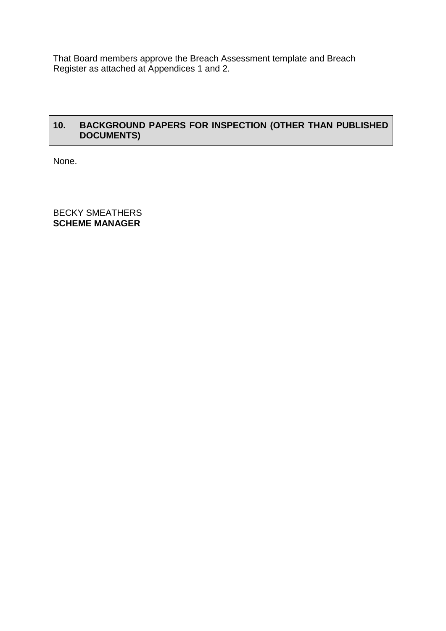That Board members approve the Breach Assessment template and Breach Register as attached at Appendices 1 and 2.

## **10. BACKGROUND PAPERS FOR INSPECTION (OTHER THAN PUBLISHED DOCUMENTS)**

None.

BECKY SMEATHERS **SCHEME MANAGER**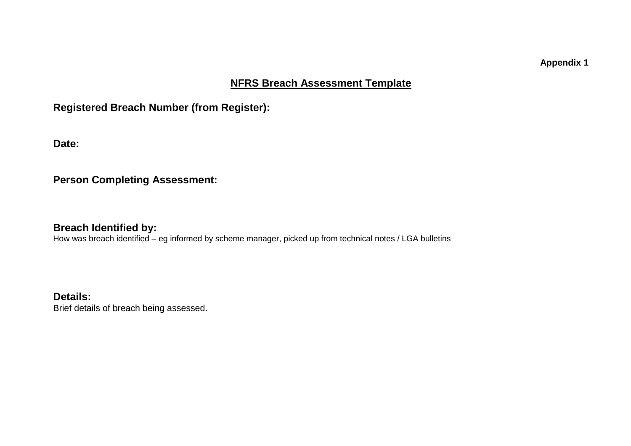**Appendix 1**

## **NFRS Breach Assessment Template**

## **Registered Breach Number (from Register):**

**Date:**

**Person Completing Assessment:**

**Breach Identified by:**

How was breach identified – eg informed by scheme manager, picked up from technical notes / LGA bulletins

**Details:** Brief details of breach being assessed.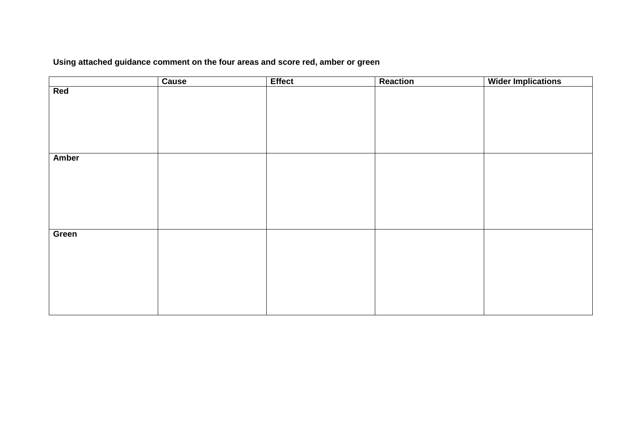## **Using attached guidance comment on the four areas and score red, amber or green**

|              | Cause | <b>Effect</b> | Reaction | <b>Wider Implications</b> |
|--------------|-------|---------------|----------|---------------------------|
| Red          |       |               |          |                           |
|              |       |               |          |                           |
|              |       |               |          |                           |
|              |       |               |          |                           |
|              |       |               |          |                           |
|              |       |               |          |                           |
|              |       |               |          |                           |
| <b>Amber</b> |       |               |          |                           |
|              |       |               |          |                           |
|              |       |               |          |                           |
|              |       |               |          |                           |
|              |       |               |          |                           |
|              |       |               |          |                           |
|              |       |               |          |                           |
| Green        |       |               |          |                           |
|              |       |               |          |                           |
|              |       |               |          |                           |
|              |       |               |          |                           |
|              |       |               |          |                           |
|              |       |               |          |                           |
|              |       |               |          |                           |
|              |       |               |          |                           |
|              |       |               |          |                           |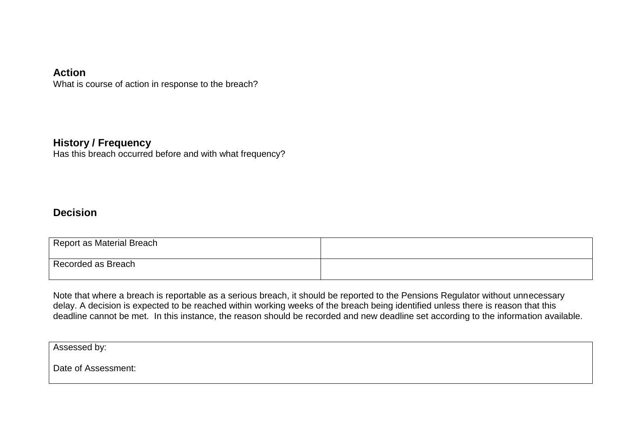## **Action**

What is course of action in response to the breach?

## **History / Frequency**

Has this breach occurred before and with what frequency?

## **Decision**

| Report as Material Breach |  |
|---------------------------|--|
| Recorded as Breach        |  |

Note that where a breach is reportable as a serious breach, it should be reported to the Pensions Regulator without unnecessary delay. A decision is expected to be reached within working weeks of the breach being identified unless there is reason that this deadline cannot be met. In this instance, the reason should be recorded and new deadline set according to the information available.

Assessed by:

Date of Assessment: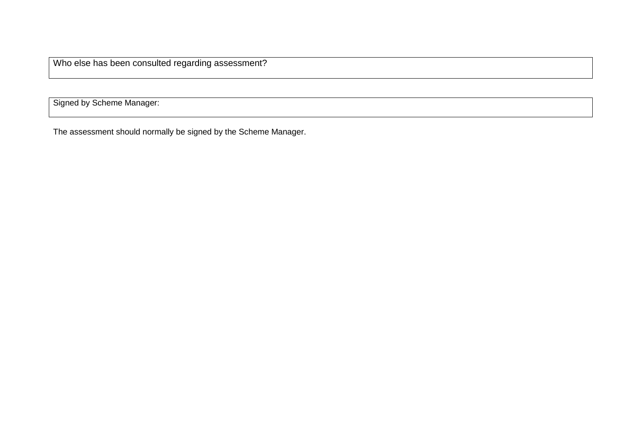Who else has been consulted regarding assessment?

Signed by Scheme Manager:

The assessment should normally be signed by the Scheme Manager.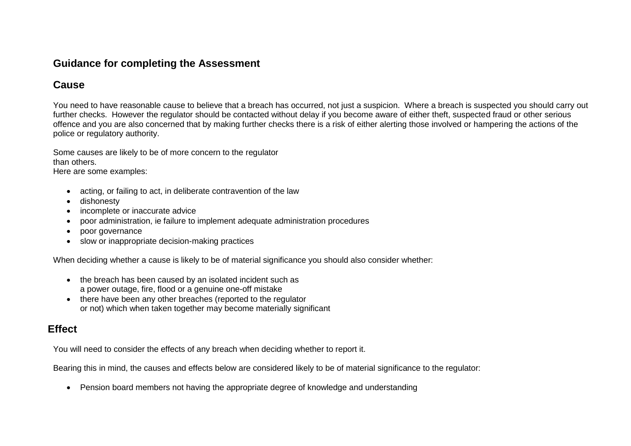## **Guidance for completing the Assessment**

## **Cause**

You need to have reasonable cause to believe that a breach has occurred, not just a suspicion. Where a breach is suspected you should carry out further checks. However the regulator should be contacted without delay if you become aware of either theft, suspected fraud or other serious offence and you are also concerned that by making further checks there is a risk of either alerting those involved or hampering the actions of the police or regulatory authority.

Some causes are likely to be of more concern to the regulator than others.

Here are some examples:

- acting, or failing to act, in deliberate contravention of the law
- dishonesty
- incomplete or inaccurate advice
- poor administration, ie failure to implement adequate administration procedures
- poor governance
- slow or inappropriate decision-making practices

When deciding whether a cause is likely to be of material significance you should also consider whether:

- the breach has been caused by an isolated incident such as a power outage, fire, flood or a genuine one-off mistake
- there have been any other breaches (reported to the regulator or not) which when taken together may become materially significant

# **Effect**

You will need to consider the effects of any breach when deciding whether to report it.

Bearing this in mind, the causes and effects below are considered likely to be of material significance to the regulator:

• Pension board members not having the appropriate degree of knowledge and understanding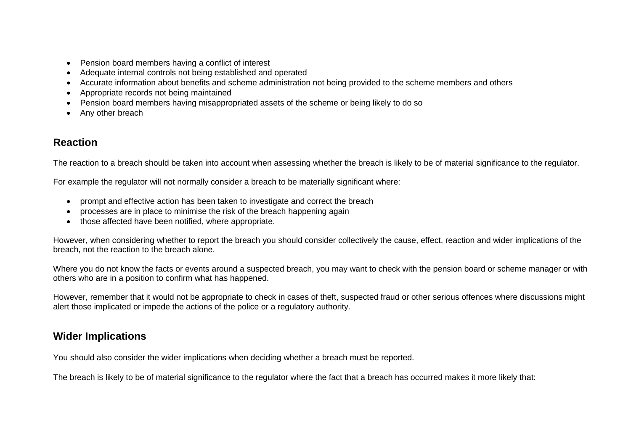- Pension board members having a conflict of interest
- Adequate internal controls not being established and operated
- Accurate information about benefits and scheme administration not being provided to the scheme members and others
- Appropriate records not being maintained
- Pension board members having misappropriated assets of the scheme or being likely to do so
- Any other breach

## **Reaction**

The reaction to a breach should be taken into account when assessing whether the breach is likely to be of material significance to the regulator.

For example the regulator will not normally consider a breach to be materially significant where:

- prompt and effective action has been taken to investigate and correct the breach
- processes are in place to minimise the risk of the breach happening again
- those affected have been notified, where appropriate.

However, when considering whether to report the breach you should consider collectively the cause, effect, reaction and wider implications of the breach, not the reaction to the breach alone.

Where you do not know the facts or events around a suspected breach, you may want to check with the pension board or scheme manager or with others who are in a position to confirm what has happened.

However, remember that it would not be appropriate to check in cases of theft, suspected fraud or other serious offences where discussions might alert those implicated or impede the actions of the police or a regulatory authority.

## **Wider Implications**

You should also consider the wider implications when deciding whether a breach must be reported.

The breach is likely to be of material significance to the regulator where the fact that a breach has occurred makes it more likely that: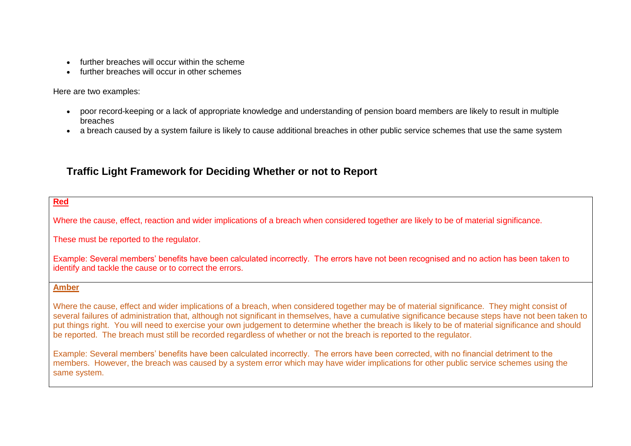- further breaches will occur within the scheme
- further breaches will occur in other schemes

Here are two examples:

- poor record-keeping or a lack of appropriate knowledge and understanding of pension board members are likely to result in multiple breaches
- a breach caused by a system failure is likely to cause additional breaches in other public service schemes that use the same system

# **Traffic Light Framework for Deciding Whether or not to Report**

**Red**

Where the cause, effect, reaction and wider implications of a breach when considered together are likely to be of material significance.

These must be reported to the regulator.

Example: Several members' benefits have been calculated incorrectly. The errors have not been recognised and no action has been taken to identify and tackle the cause or to correct the errors.

#### **Amber**

Where the cause, effect and wider implications of a breach, when considered together may be of material significance. They might consist of several failures of administration that, although not significant in themselves, have a cumulative significance because steps have not been taken to put things right. You will need to exercise your own judgement to determine whether the breach is likely to be of material significance and should be reported. The breach must still be recorded regardless of whether or not the breach is reported to the regulator.

Example: Several members' benefits have been calculated incorrectly. The errors have been corrected, with no financial detriment to the members. However, the breach was caused by a system error which may have wider implications for other public service schemes using the same system.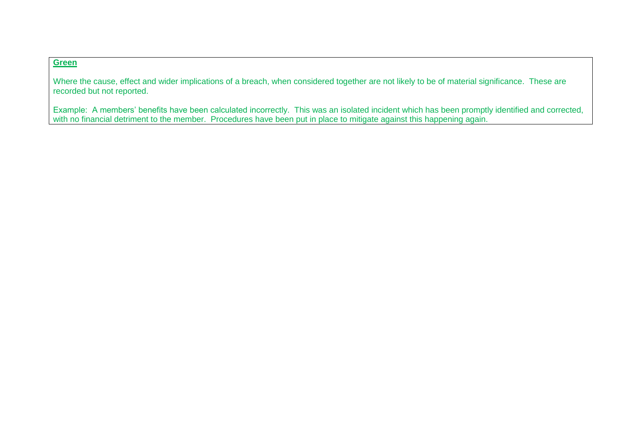#### **Green**

Where the cause, effect and wider implications of a breach, when considered together are not likely to be of material significance. These are recorded but not reported.

Example: A members' benefits have been calculated incorrectly. This was an isolated incident which has been promptly identified and corrected, with no financial detriment to the member. Procedures have been put in place to mitigate against this happening again.